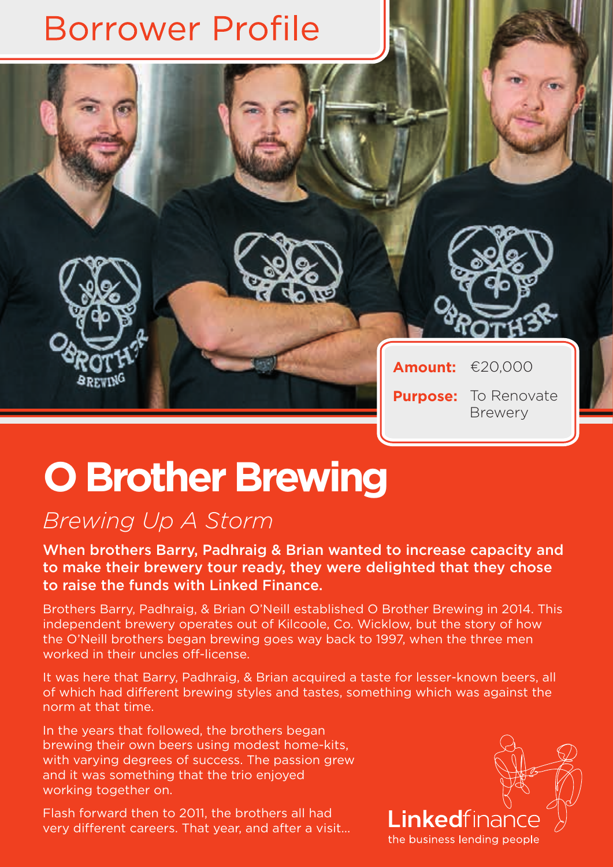

## **O Brother Brewing**

## *Brewing Up A Storm*

When brothers Barry, Padhraig & Brian wanted to increase capacity and to make their brewery tour ready, they were delighted that they chose to raise the funds with Linked Finance.

Brothers Barry, Padhraig, & Brian O'Neill established O Brother Brewing in 2014. This independent brewery operates out of Kilcoole, Co. Wicklow, but the story of how the O'Neill brothers began brewing goes way back to 1997, when the three men worked in their uncles off-license.

It was here that Barry, Padhraig, & Brian acquired a taste for lesser-known beers, all of which had different brewing styles and tastes, something which was against the norm at that time.

In the years that followed, the brothers began brewing their own beers using modest home-kits, with varying degrees of success. The passion grew and it was something that the trio enjoyed working together on.

Flash forward then to 2011, the brothers all had very different careers. That year, and after a visit...